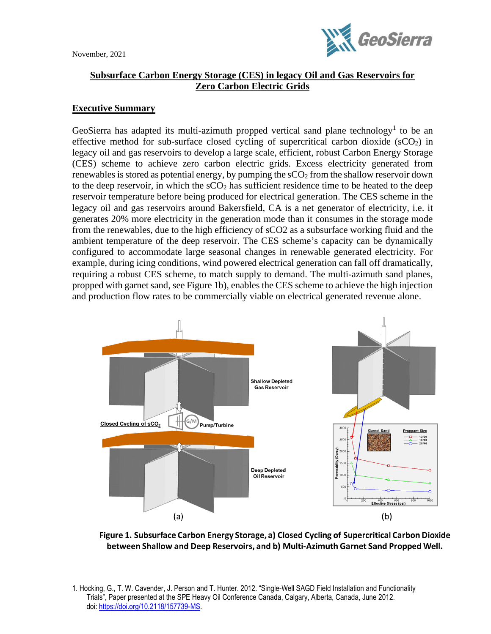

## **Subsurface Carbon Energy Storage (CES) in legacy Oil and Gas Reservoirs for Zero Carbon Electric Grids**

## **Executive Summary**

GeoSierra has adapted its multi-azimuth propped vertical sand plane technology<sup>1</sup> to be an effective method for sub-surface closed cycling of supercritical carbon dioxide  $(SCO<sub>2</sub>)$  in legacy oil and gas reservoirs to develop a large scale, efficient, robust Carbon Energy Storage (CES) scheme to achieve zero carbon electric grids. Excess electricity generated from renewables is stored as potential energy, by pumping the  $\rm{sCO<sub>2</sub>}$  from the shallow reservoir down to the deep reservoir, in which the  $\rm sCO<sub>2</sub>$  has sufficient residence time to be heated to the deep reservoir temperature before being produced for electrical generation. The CES scheme in the legacy oil and gas reservoirs around Bakersfield, CA is a net generator of electricity, i.e. it generates 20% more electricity in the generation mode than it consumes in the storage mode from the renewables, due to the high efficiency of sCO2 as a subsurface working fluid and the ambient temperature of the deep reservoir. The CES scheme's capacity can be dynamically configured to accommodate large seasonal changes in renewable generated electricity. For example, during icing conditions, wind powered electrical generation can fall off dramatically, requiring a robust CES scheme, to match supply to demand. The multi-azimuth sand planes, propped with garnet sand, see Figure 1b), enables the CES scheme to achieve the high injection and production flow rates to be commercially viable on electrical generated revenue alone.



Figure 1. Subsurface Carbon Energy Storage, a) Closed Cycling of Supercritical Carbon Dioxide between Shallow and Deep Reservoirs, and b) Multi-Azimuth Garnet Sand Propped Well.

1. Hocking, G., T. W. Cavender, J. Person and T. Hunter. 2012. "Single-Well SAGD Field Installation and Functionality Trials", Paper presented at the SPE Heavy Oil Conference Canada, Calgary, Alberta, Canada, June 2012. doi: [https://doi.org/10.2118/157739-MS.](https://doi.org/10.2118/157739-MS)